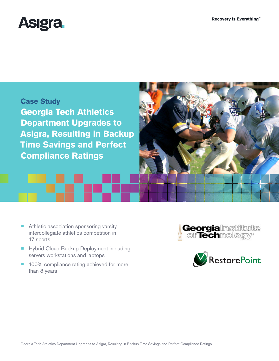





- Athletic association sponsoring varsity intercollegiate athletics competition in 17 sports
- Hybrid Cloud Backup Deployment including servers workstations and laptops
- 100% compliance rating achieved for more than 8 years



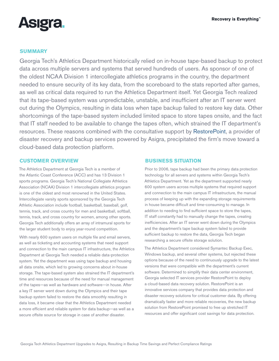

# **SUMMARY**

Georgia Tech's Athletics Department historically relied on in-house tape-based backup to protect data across multiple servers and systems that served hundreds of users. As sponsor of one of the oldest NCAA Division 1 intercollegiate athletics programs in the country, the department needed to ensure security of its key data, from the scoreboard to the stats reported after games, as well as critical data required to run the Athletics Department itself. Yet Georgia Tech realized that its tape-based system was unpredictable, unstable, and insufficient after an IT server went out during the Olympics, resulting in data loss when tape backup failed to restore key data. Other shortcomings of the tape-based system included limited space to store tapes onsite, and the fact that IT staff needed to be available to change the tapes often, which strained the IT department's resources. These reasons combined with the consultative support by [RestorePoint,](http://www.restorepoint.net/) a provider of disaster recovery and backup services powered by Asigra, precipitated the firm's move toward a cloud-based data protection platform.

### **CUSTOMER OVERVIEW**

The Athletics Department at Georgia Tech is a member of the Atlantic Coast Conference (ACC) and has 13 Division 1 sports programs. Georgia Tech's National Collegiate Athletics Association (NCAA) Division 1 intercollegiate athletics program is one of the oldest and most renowned in the United States. Intercollegiate varsity sports sponsored by the Georgia Tech Athletic Association include football, basketball, baseball, golf, tennis, track, and cross country for men and basketball, softball, tennis, track, and cross country for women, among other sports. Georgia Tech additionally offers an array of intramural sports for the larger student body to enjoy year-round competition.

With nearly 600 system users on multiple file and email servers, as well as ticketing and accounting systems that need support and connection to the main campus IT infrastructure, the Athletics Department at Georgia Tech needed a reliable data-protection system. Yet the department was using tape backup and housing all data onsite, which led to growing concerns about in-house storage. The tape-based system also strained the IT department's time and resources because of the need for manual management of the tapes—as well as hardware and software—in house. After a key IT server went down during the Olympics and their tape backup system failed to restore the data smoothly resulting in data loss, it became clear that the Athletics Department needed a more efficient and reliable system for data backup—as well as a secure offsite source for storage in case of another disaster.

#### **BUSINESS SITUATION**

Prior to 2006, tape backup had been the primary data protection technology for all servers and systems within Georgia Tech's Athletics Department. Yet as the department supported nearly 600 system users across multiple systems that required support and connection to the main campus IT infrastructure, the manual process of keeping up with the expanding storage requirements in house became difficult and time-consuming to manage. In addition to needing to find sufficient space to store the tapes, IT staff constantly had to manually change the tapes, creating inefficiencies. After an IT server went down during the Olympics and the department's tape backup system failed to provide sufficient backup to restore the data, Georgia Tech began researching a secure offsite storage solution.

The Athletics Department considered Symantec Backup Exec, Windows backup, and several other systems, but rejected these options because of the need to continuously upgrade to the latest versions that were compatible with the department's current software. Determined to simplify their data center environment, Georgia selected IT services provider RestorePoint to deploy a cloud-based data recovery solution. RestorePoint is an innovative services company that provides data protection and disaster recovery solutions for critical customer data. By offering dramatically faster and more reliable recoveries, the new backup solution from RestorePoint promised to free up stretched IT resources and offer significant cost savings for data protection.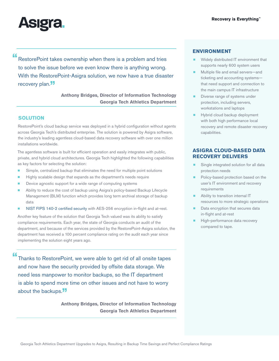

"RestorePoint takes ownership when there is a problem and tries to solve the issue before we even know there is anything wrong. With the RestorePoint-Asigra solution, we now have a true disaster recovery plan.<sup>"</sup>

> **Anthony Bridges, Director of Information Technology Georgia Tech Athletics Department**

# **SOLUTION**

RestorePoint's cloud backup service was deployed in a hybrid configuration without agents across Georgia Tech's distributed enterprise. The solution is powered by Asigra software, the industry's leading agentless cloud-based data recovery software with over one million installations worldwide.

The agentless software is built for efficient operation and easily integrates with public, private, and hybrid cloud architectures. Georgia Tech highlighted the following capabilities as key factors for selecting the solution:

- Simple, centralized backup that eliminates the need for multiple point solutions
- Highly scalable design that expands as the department's needs require
- Device agnostic support for a wide range of computing systems
- ¾ Ability to reduce the cost of backup using Asigra's policy-based Backup Lifecycle Management (BLM) function which provides long term archival storage of backup data
- **[NIST FIPS 140-2 certified security](http://www.asigra.com/fips-140-2-certification-backup) with AES-256 encryption in-flight and at-rest.**

Another key feature of the solution that Georgia Tech valued was its ability to satisfy compliance requirements. Each year, the state of Georgia conducts an audit of the department, and because of the services provided by the RestorePoint-Asigra solution, the department has received a 100 percent compliance rating on the audit each year since implementing the solution eight years ago.

"Thanks to RestorePoint, we were able to get rid of all onsite tapes and now have the security provided by offsite data storage. We need less manpower to monitor backups, so the IT department is able to spend more time on other issues and not have to worry about the backups.<sup>"</sup>

> **Anthony Bridges, Director of Information Technology Georgia Tech Athletics Department**

## **ENVIRONMENT**

- Widely distributed IT environment that supports nearly 600 system users
- Multiple file and email servers-and ticketing and accounting systems that need support and connection to the main campus IT infrastructure
- Diverse range of systems under protection, including servers, workstations and laptops
- Hybrid cloud backup deployment with both high performance local recovery and remote disaster recovery capabilities.

# **ASIGRA CLOUD-BASED DATA RECOVERY DELIVERS**

- Single integrated solution for all data protection needs
- Policy-based protection based on the user's IT environment and recovery requirements
- Ability to transition internal IT resources to more strategic operations
- Data encryption that secures data in-flight and at-rest
- High-performance data recovery compared to tape.